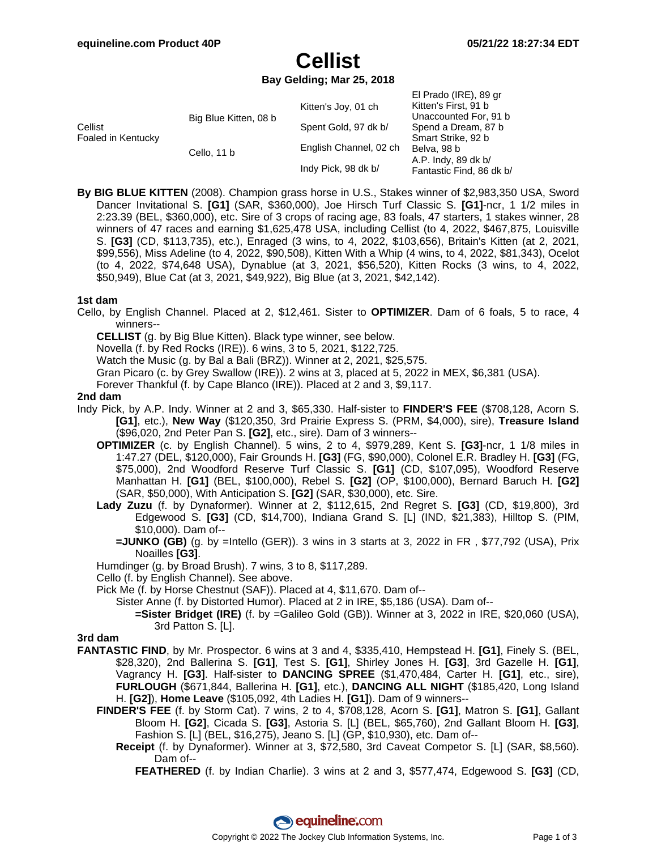$E[Drado (IDE) 80 or$ 

# **Cellist**

### **Bay Gelding; Mar 25, 2018**

|                               |                       | Kitten's Joy, 01 ch    | LITTAUV (IIVL), 03 YR<br>Kitten's First, 91 b |
|-------------------------------|-----------------------|------------------------|-----------------------------------------------|
| Cellist<br>Foaled in Kentucky | Big Blue Kitten, 08 b |                        | Unaccounted For, 91 b                         |
|                               |                       | Spent Gold, 97 dk b/   | Spend a Dream, 87 b                           |
|                               | Cello, 11 b           | English Channel, 02 ch | Smart Strike, 92 b                            |
|                               |                       |                        | Belva, 98 b                                   |
|                               |                       | Indy Pick, 98 dk b/    | A.P. Indy, 89 dk b/                           |
|                               |                       |                        | Fantastic Find, 86 dk b/                      |

**By BIG BLUE KITTEN** (2008). Champion grass horse in U.S., Stakes winner of \$2,983,350 USA, Sword Dancer Invitational S. **[G1]** (SAR, \$360,000), Joe Hirsch Turf Classic S. **[G1]**-ncr, 1 1/2 miles in 2:23.39 (BEL, \$360,000), etc. Sire of 3 crops of racing age, 83 foals, 47 starters, 1 stakes winner, 28 winners of 47 races and earning \$1,625,478 USA, including Cellist (to 4, 2022, \$467,875, Louisville S. **[G3]** (CD, \$113,735), etc.), Enraged (3 wins, to 4, 2022, \$103,656), Britain's Kitten (at 2, 2021, \$99,556), Miss Adeline (to 4, 2022, \$90,508), Kitten With a Whip (4 wins, to 4, 2022, \$81,343), Ocelot (to 4, 2022, \$74,648 USA), Dynablue (at 3, 2021, \$56,520), Kitten Rocks (3 wins, to 4, 2022, \$50,949), Blue Cat (at 3, 2021, \$49,922), Big Blue (at 3, 2021, \$42,142).

### **1st dam**

Cello, by English Channel. Placed at 2, \$12,461. Sister to **OPTIMIZER**. Dam of 6 foals, 5 to race, 4 winners--

**CELLIST** (g. by Big Blue Kitten). Black type winner, see below.

Novella (f. by Red Rocks (IRE)). 6 wins, 3 to 5, 2021, \$122,725.

Watch the Music (g. by Bal a Bali (BRZ)). Winner at 2, 2021, \$25,575.

Gran Picaro (c. by Grey Swallow (IRE)). 2 wins at 3, placed at 5, 2022 in MEX, \$6,381 (USA).

Forever Thankful (f. by Cape Blanco (IRE)). Placed at 2 and 3, \$9,117.

### **2nd dam**

- Indy Pick, by A.P. Indy. Winner at 2 and 3, \$65,330. Half-sister to **FINDER'S FEE** (\$708,128, Acorn S. **[G1]**, etc.), **New Way** (\$120,350, 3rd Prairie Express S. (PRM, \$4,000), sire), **Treasure Island** (\$96,020, 2nd Peter Pan S. **[G2]**, etc., sire). Dam of 3 winners--
	- **OPTIMIZER** (c. by English Channel). 5 wins, 2 to 4, \$979,289, Kent S. **[G3]**-ncr, 1 1/8 miles in 1:47.27 (DEL, \$120,000), Fair Grounds H. **[G3]** (FG, \$90,000), Colonel E.R. Bradley H. **[G3]** (FG, \$75,000), 2nd Woodford Reserve Turf Classic S. **[G1]** (CD, \$107,095), Woodford Reserve Manhattan H. **[G1]** (BEL, \$100,000), Rebel S. **[G2]** (OP, \$100,000), Bernard Baruch H. **[G2]** (SAR, \$50,000), With Anticipation S. **[G2]** (SAR, \$30,000), etc. Sire.
	- **Lady Zuzu** (f. by Dynaformer). Winner at 2, \$112,615, 2nd Regret S. **[G3]** (CD, \$19,800), 3rd Edgewood S. **[G3]** (CD, \$14,700), Indiana Grand S. [L] (IND, \$21,383), Hilltop S. (PIM, \$10,000). Dam of--
		- **=JUNKO (GB)** (g. by =Intello (GER)). 3 wins in 3 starts at 3, 2022 in FR , \$77,792 (USA), Prix Noailles **[G3]**.
	- Humdinger (g. by Broad Brush). 7 wins, 3 to 8, \$117,289.

Cello (f. by English Channel). See above.

Pick Me (f. by Horse Chestnut (SAF)). Placed at 4, \$11,670. Dam of--

Sister Anne (f. by Distorted Humor). Placed at 2 in IRE, \$5,186 (USA). Dam of--

**=Sister Bridget (IRE)** (f. by =Galileo Gold (GB)). Winner at 3, 2022 in IRE, \$20,060 (USA), 3rd Patton S. [L].

### **3rd dam**

- **FANTASTIC FIND**, by Mr. Prospector. 6 wins at 3 and 4, \$335,410, Hempstead H. **[G1]**, Finely S. (BEL, \$28,320), 2nd Ballerina S. **[G1]**, Test S. **[G1]**, Shirley Jones H. **[G3]**, 3rd Gazelle H. **[G1]**, Vagrancy H. **[G3]**. Half-sister to **DANCING SPREE** (\$1,470,484, Carter H. **[G1]**, etc., sire), **FURLOUGH** (\$671,844, Ballerina H. **[G1]**, etc.), **DANCING ALL NIGHT** (\$185,420, Long Island H. **[G2]**), **Home Leave** (\$105,092, 4th Ladies H. **[G1]**). Dam of 9 winners--
	- **FINDER'S FEE** (f. by Storm Cat). 7 wins, 2 to 4, \$708,128, Acorn S. **[G1]**, Matron S. **[G1]**, Gallant Bloom H. **[G2]**, Cicada S. **[G3]**, Astoria S. [L] (BEL, \$65,760), 2nd Gallant Bloom H. **[G3]**, Fashion S. [L] (BEL, \$16,275), Jeano S. [L] (GP, \$10,930), etc. Dam of--
		- **Receipt** (f. by Dynaformer). Winner at 3, \$72,580, 3rd Caveat Competor S. [L] (SAR, \$8,560). Dam of--

**FEATHERED** (f. by Indian Charlie). 3 wins at 2 and 3, \$577,474, Edgewood S. **[G3]** (CD,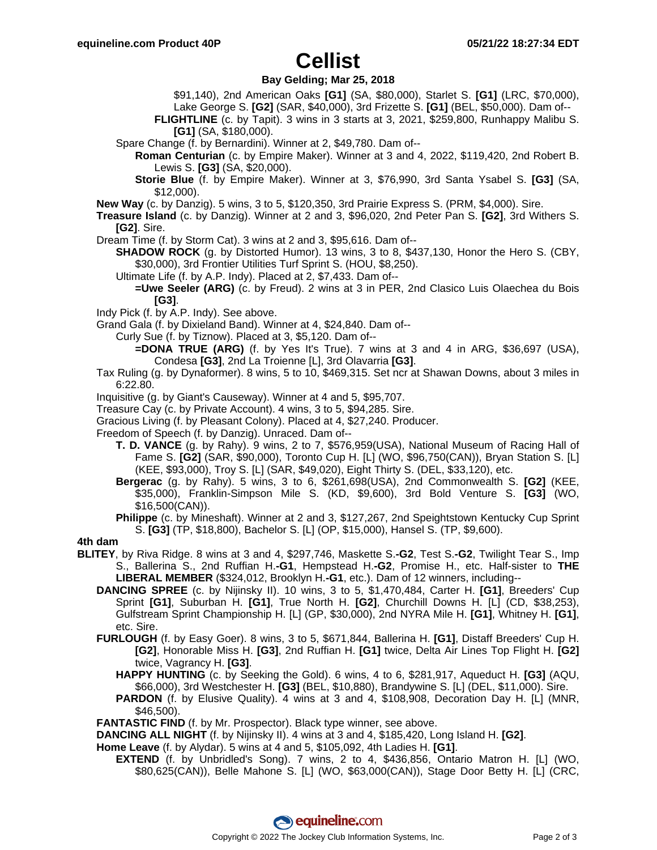## **Cellist**

### **Bay Gelding; Mar 25, 2018**

- \$91,140), 2nd American Oaks **[G1]** (SA, \$80,000), Starlet S. **[G1]** (LRC, \$70,000), Lake George S. **[G2]** (SAR, \$40,000), 3rd Frizette S. **[G1]** (BEL, \$50,000). Dam of--
- **FLIGHTLINE** (c. by Tapit). 3 wins in 3 starts at 3, 2021, \$259,800, Runhappy Malibu S.

```
[G1] (SA, $180,000).
```
- Spare Change (f. by Bernardini). Winner at 2, \$49,780. Dam of--
	- **Roman Centurian** (c. by Empire Maker). Winner at 3 and 4, 2022, \$119,420, 2nd Robert B. Lewis S. **[G3]** (SA, \$20,000).
	- **Storie Blue** (f. by Empire Maker). Winner at 3, \$76,990, 3rd Santa Ysabel S. **[G3]** (SA, \$12,000).
- **New Way** (c. by Danzig). 5 wins, 3 to 5, \$120,350, 3rd Prairie Express S. (PRM, \$4,000). Sire.
- **Treasure Island** (c. by Danzig). Winner at 2 and 3, \$96,020, 2nd Peter Pan S. **[G2]**, 3rd Withers S. **[G2]**. Sire.
- Dream Time (f. by Storm Cat). 3 wins at 2 and 3, \$95,616. Dam of--
	- **SHADOW ROCK** (g. by Distorted Humor). 13 wins, 3 to 8, \$437,130, Honor the Hero S. (CBY, \$30,000), 3rd Frontier Utilities Turf Sprint S. (HOU, \$8,250).
	- Ultimate Life (f. by A.P. Indy). Placed at 2, \$7,433. Dam of--
		- **=Uwe Seeler (ARG)** (c. by Freud). 2 wins at 3 in PER, 2nd Clasico Luis Olaechea du Bois **[G3]**.
- Indy Pick (f. by A.P. Indy). See above.
- Grand Gala (f. by Dixieland Band). Winner at 4, \$24,840. Dam of--
	- Curly Sue (f. by Tiznow). Placed at 3, \$5,120. Dam of--
		- **=DONA TRUE (ARG)** (f. by Yes It's True). 7 wins at 3 and 4 in ARG, \$36,697 (USA), Condesa **[G3]**, 2nd La Troienne [L], 3rd Olavarria **[G3]**.
- Tax Ruling (g. by Dynaformer). 8 wins, 5 to 10, \$469,315. Set ncr at Shawan Downs, about 3 miles in 6:22.80.
- Inquisitive (g. by Giant's Causeway). Winner at 4 and 5, \$95,707.
- Treasure Cay (c. by Private Account). 4 wins, 3 to 5, \$94,285. Sire.
- Gracious Living (f. by Pleasant Colony). Placed at 4, \$27,240. Producer.
- Freedom of Speech (f. by Danzig). Unraced. Dam of--
	- **T. D. VANCE** (g. by Rahy). 9 wins, 2 to 7, \$576,959(USA), National Museum of Racing Hall of Fame S. **[G2]** (SAR, \$90,000), Toronto Cup H. [L] (WO, \$96,750(CAN)), Bryan Station S. [L] (KEE, \$93,000), Troy S. [L] (SAR, \$49,020), Eight Thirty S. (DEL, \$33,120), etc.
	- **Bergerac** (g. by Rahy). 5 wins, 3 to 6, \$261,698(USA), 2nd Commonwealth S. **[G2]** (KEE, \$35,000), Franklin-Simpson Mile S. (KD, \$9,600), 3rd Bold Venture S. **[G3]** (WO, \$16,500(CAN)).
	- **Philippe** (c. by Mineshaft). Winner at 2 and 3, \$127,267, 2nd Speightstown Kentucky Cup Sprint S. **[G3]** (TP, \$18,800), Bachelor S. [L] (OP, \$15,000), Hansel S. (TP, \$9,600).

### **4th dam**

- **BLITEY**, by Riva Ridge. 8 wins at 3 and 4, \$297,746, Maskette S.**-G2**, Test S.**-G2**, Twilight Tear S., Imp S., Ballerina S., 2nd Ruffian H.**-G1**, Hempstead H.**-G2**, Promise H., etc. Half-sister to **THE LIBERAL MEMBER** (\$324,012, Brooklyn H.**-G1**, etc.). Dam of 12 winners, including--
	- **DANCING SPREE** (c. by Nijinsky II). 10 wins, 3 to 5, \$1,470,484, Carter H. **[G1]**, Breeders' Cup Sprint **[G1]**, Suburban H. **[G1]**, True North H. **[G2]**, Churchill Downs H. [L] (CD, \$38,253), Gulfstream Sprint Championship H. [L] (GP, \$30,000), 2nd NYRA Mile H. **[G1]**, Whitney H. **[G1]**, etc. Sire.
	- **FURLOUGH** (f. by Easy Goer). 8 wins, 3 to 5, \$671,844, Ballerina H. **[G1]**, Distaff Breeders' Cup H. **[G2]**, Honorable Miss H. **[G3]**, 2nd Ruffian H. **[G1]** twice, Delta Air Lines Top Flight H. **[G2]** twice, Vagrancy H. **[G3]**.
		- **HAPPY HUNTING** (c. by Seeking the Gold). 6 wins, 4 to 6, \$281,917, Aqueduct H. **[G3]** (AQU, \$66,000), 3rd Westchester H. **[G3]** (BEL, \$10,880), Brandywine S. [L] (DEL, \$11,000). Sire.
		- **PARDON** (f. by Elusive Quality). 4 wins at 3 and 4, \$108,908, Decoration Day H. [L] (MNR, \$46,500).
	- **FANTASTIC FIND** (f. by Mr. Prospector). Black type winner, see above.
	- **DANCING ALL NIGHT** (f. by Nijinsky II). 4 wins at 3 and 4, \$185,420, Long Island H. **[G2]**.
	- **Home Leave** (f. by Alydar). 5 wins at 4 and 5, \$105,092, 4th Ladies H. **[G1]**.
		- **EXTEND** (f. by Unbridled's Song). 7 wins, 2 to 4, \$436,856, Ontario Matron H. [L] (WO, \$80,625(CAN)), Belle Mahone S. [L] (WO, \$63,000(CAN)), Stage Door Betty H. [L] (CRC,